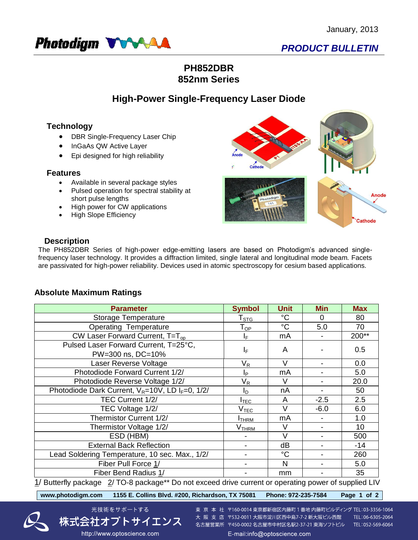

# *PRODUCT BULLETIN*

## **PH852DBR 852nm Series**

## **High-Power Single-Frequency Laser Diode**

## **Technology**

- DBR Single-Frequency Laser Chip
- InGaAs QW Active Layer
- Epi designed for high reliability

#### **Features**

- Available in several package styles
- Pulsed operation for spectral stability at short pulse lengths
- High power for CW applications
- High Slope Efficiency



### **Description**

The PH852DBR Series of high-power edge-emitting lasers are based on Photodigm's advanced singlefrequency laser technology. It provides a diffraction limited, single lateral and longitudinal mode beam. Facets are passivated for high-power reliability. Devices used in atomic spectroscopy for cesium based applications.

## **Absolute Maximum Ratings**

| <b>Parameter</b>                                                                                     | <b>Symbol</b>              | <b>Unit</b> | <b>Min</b> | <b>Max</b> |  |  |  |
|------------------------------------------------------------------------------------------------------|----------------------------|-------------|------------|------------|--|--|--|
| Storage Temperature                                                                                  | ${\sf T}_{\text{STG}}$     | $^{\circ}C$ | $\Omega$   | 80         |  |  |  |
| Operating Temperature                                                                                | $\mathsf{T}_{\mathsf{OP}}$ | $^{\circ}C$ | 5.0        | 70         |  |  |  |
| CW Laser Forward Current, $T=T_{op}$                                                                 | IF.                        | mA          |            | 200**      |  |  |  |
| Pulsed Laser Forward Current, T=25°C,<br>PW=300 ns, DC=10%                                           | IF.                        | A           |            | 0.5        |  |  |  |
| Laser Reverse Voltage                                                                                | $V_R$                      | $\vee$      |            | 0.0        |  |  |  |
| Photodiode Forward Current 1/2/                                                                      | Ιp                         | mA          |            | 5.0        |  |  |  |
| Photodiode Reverse Voltage 1/2/                                                                      | $\mathsf{V}_\mathsf{R}$    | V           |            | 20.0       |  |  |  |
| Photodiode Dark Current, $V_R = 10V$ , LD I <sub>F</sub> =0, 1/2/                                    | In.                        | nA          |            | 50         |  |  |  |
| TEC Current 1/2/                                                                                     | $I_{\mathsf{TEC}}$         | A           | $-2.5$     | 2.5        |  |  |  |
| TEC Voltage 1/2/                                                                                     | V <sub>TEC</sub>           | $\vee$      | $-6.0$     | 6.0        |  |  |  |
| Thermistor Current 1/2/                                                                              | <b>I</b> THRM              | mA          |            | 1.0        |  |  |  |
| Thermistor Voltage 1/2/                                                                              | V <sub>THRM</sub>          | V           |            | 10         |  |  |  |
| ESD (HBM)                                                                                            |                            | $\vee$      |            | 500        |  |  |  |
| <b>External Back Reflection</b>                                                                      |                            | dB          |            | $-14$      |  |  |  |
| Lead Soldering Temperature, 10 sec. Max., 1/2/                                                       |                            | $^{\circ}C$ |            | 260        |  |  |  |
| Fiber Pull Force 1/                                                                                  |                            | N           |            | 5.0        |  |  |  |
| Fiber Bend Radius 1/                                                                                 |                            | mm          |            | 35         |  |  |  |
| 1/ Buttorfly package 2/TO-8 package** De not exceed drive current or eperating power of supplied LIV |                            |             |            |            |  |  |  |

1/ Butterfly package 2/ TO-8 package\*\* Do not exceed drive current or operating power of supplied LIV

**[www.photodigm.com 1155 E. Collins Blvd. #200, Richardson, TX 75081 Phone: 972-235-7584 Page 1 of 2](http://www.optoscience.com/)** 

http://www.optoscience.com



東 京 本 社 〒160-0014 東京都新宿区内藤町 1 番地 内藤町ビルディング TEL:03-3356-1064 大阪支店 〒532-0011 大阪市淀川区西中島7-7-2 新大阪ビル西館 TEL:06-6305-2064 名古屋営業所 〒450-0002 名古屋市中村区名駅2-37-21 東海ソフトビル TEL:052-569-6064 E-mail:info@optoscience.com